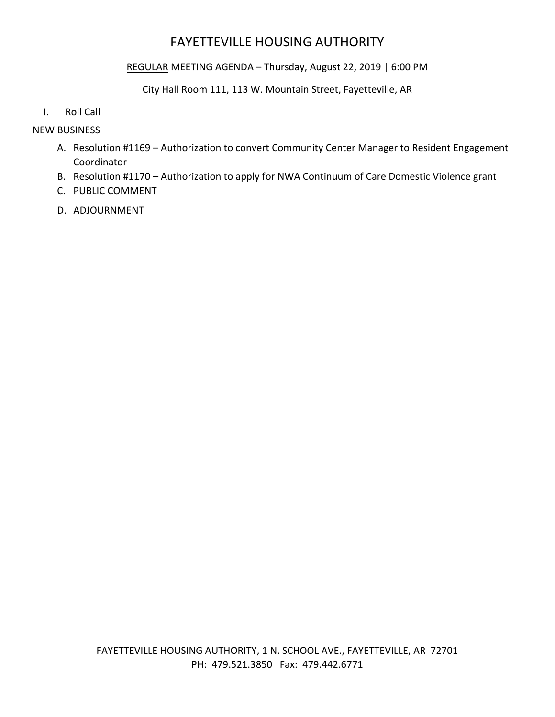# FAYETTEVILLE HOUSING AUTHORITY

### REGULAR MEETING AGENDA – Thursday, August 22, 2019 | 6:00 PM

### City Hall Room 111, 113 W. Mountain Street, Fayetteville, AR

I. Roll Call

### NEW BUSINESS

- A. Resolution #1169 Authorization to convert Community Center Manager to Resident Engagement Coordinator
- B. Resolution #1170 Authorization to apply for NWA Continuum of Care Domestic Violence grant
- C. PUBLIC COMMENT
- D. ADJOURNMENT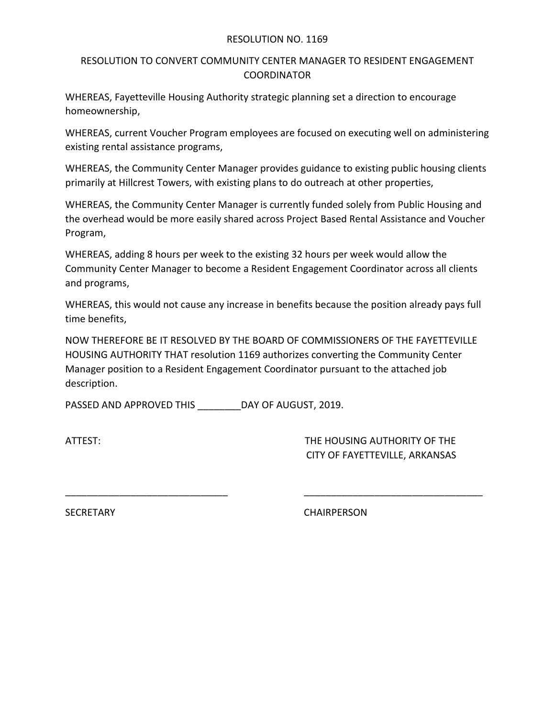#### RESOLUTION NO. 1169

## RESOLUTION TO CONVERT COMMUNITY CENTER MANAGER TO RESIDENT ENGAGEMENT COORDINATOR

WHEREAS, Fayetteville Housing Authority strategic planning set a direction to encourage homeownership,

WHEREAS, current Voucher Program employees are focused on executing well on administering existing rental assistance programs,

WHEREAS, the Community Center Manager provides guidance to existing public housing clients primarily at Hillcrest Towers, with existing plans to do outreach at other properties,

WHEREAS, the Community Center Manager is currently funded solely from Public Housing and the overhead would be more easily shared across Project Based Rental Assistance and Voucher Program,

WHEREAS, adding 8 hours per week to the existing 32 hours per week would allow the Community Center Manager to become a Resident Engagement Coordinator across all clients and programs,

WHEREAS, this would not cause any increase in benefits because the position already pays full time benefits,

NOW THEREFORE BE IT RESOLVED BY THE BOARD OF COMMISSIONERS OF THE FAYETTEVILLE HOUSING AUTHORITY THAT resolution 1169 authorizes converting the Community Center Manager position to a Resident Engagement Coordinator pursuant to the attached job description.

\_\_\_\_\_\_\_\_\_\_\_\_\_\_\_\_\_\_\_\_\_\_\_\_\_\_\_\_\_\_ \_\_\_\_\_\_\_\_\_\_\_\_\_\_\_\_\_\_\_\_\_\_\_\_\_\_\_\_\_\_\_\_\_

PASSED AND APPROVED THIS DAY OF AUGUST, 2019.

ATTEST: THE HOUSING AUTHORITY OF THE CITY OF FAYETTEVILLE, ARKANSAS

SECRETARY CHAIRPERSON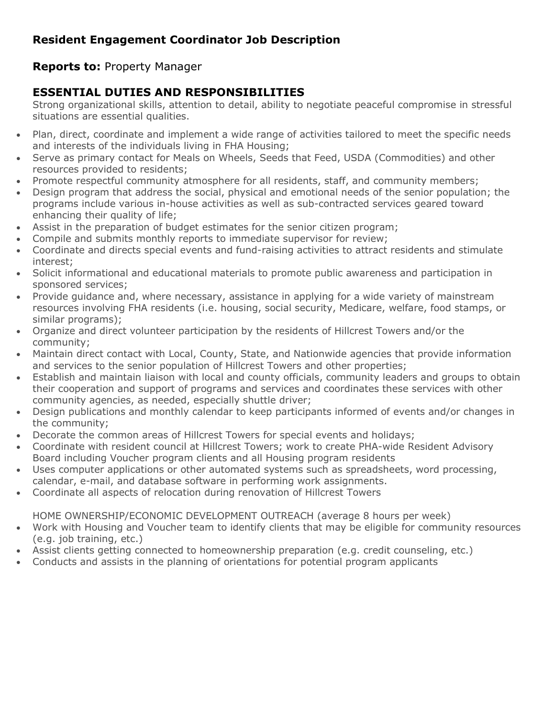# **Reports to:** Property Manager

# **ESSENTIAL DUTIES AND RESPONSIBILITIES**

Strong organizational skills, attention to detail, ability to negotiate peaceful compromise in stressful situations are essential qualities.

- Plan, direct, coordinate and implement a wide range of activities tailored to meet the specific needs and interests of the individuals living in FHA Housing;
- Serve as primary contact for Meals on Wheels, Seeds that Feed, USDA (Commodities) and other resources provided to residents;
- Promote respectful community atmosphere for all residents, staff, and community members;
- Design program that address the social, physical and emotional needs of the senior population; the programs include various in-house activities as well as sub-contracted services geared toward enhancing their quality of life;
- Assist in the preparation of budget estimates for the senior citizen program;
- Compile and submits monthly reports to immediate supervisor for review;
- Coordinate and directs special events and fund-raising activities to attract residents and stimulate interest;
- Solicit informational and educational materials to promote public awareness and participation in sponsored services;
- Provide guidance and, where necessary, assistance in applying for a wide variety of mainstream resources involving FHA residents (i.e. housing, social security, Medicare, welfare, food stamps, or similar programs);
- Organize and direct volunteer participation by the residents of Hillcrest Towers and/or the community;
- Maintain direct contact with Local, County, State, and Nationwide agencies that provide information and services to the senior population of Hillcrest Towers and other properties;
- Establish and maintain liaison with local and county officials, community leaders and groups to obtain their cooperation and support of programs and services and coordinates these services with other community agencies, as needed, especially shuttle driver;
- Design publications and monthly calendar to keep participants informed of events and/or changes in the community;
- Decorate the common areas of Hillcrest Towers for special events and holidays;
- Coordinate with resident council at Hillcrest Towers; work to create PHA-wide Resident Advisory Board including Voucher program clients and all Housing program residents
- Uses computer applications or other automated systems such as spreadsheets, word processing, calendar, e-mail, and database software in performing work assignments.
- Coordinate all aspects of relocation during renovation of Hillcrest Towers

HOME OWNERSHIP/ECONOMIC DEVELOPMENT OUTREACH (average 8 hours per week)

- Work with Housing and Voucher team to identify clients that may be eligible for community resources (e.g. job training, etc.)
- Assist clients getting connected to homeownership preparation (e.g. credit counseling, etc.)
- Conducts and assists in the planning of orientations for potential program applicants